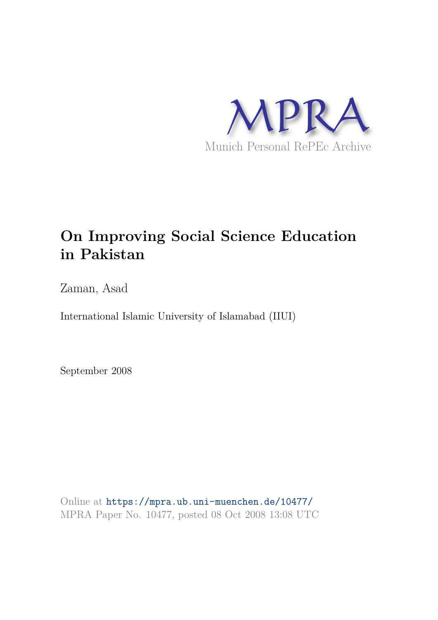

# **On Improving Social Science Education in Pakistan**

Zaman, Asad

International Islamic University of Islamabad (IIUI)

September 2008

Online at https://mpra.ub.uni-muenchen.de/10477/ MPRA Paper No. 10477, posted 08 Oct 2008 13:08 UTC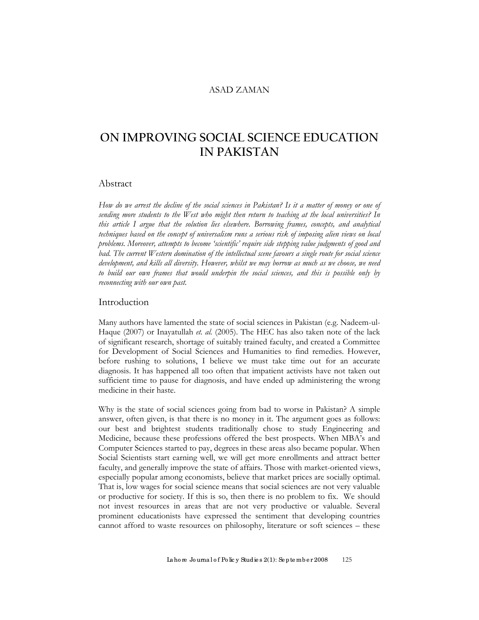#### ASAD ZAMAN

## **ON IMPROVING SOCIAL SCIENCE EDUCATION IN PAKISTAN**

#### Abstract

*How do we arrest the decline of the social sciences in Pakistan? Is it a matter of money or one of sending more students to the West who might then return to teaching at the local universities? In this article I argue that the solution lies elsewhere. Borrowing frames, concepts, and analytical techniques based on the concept of universalism runs a serious risk of imposing alien views on local problems. Moreover, attempts to become 'scientific' require side stepping value judgments of good and*  bad. The current Western domination of the intellectual scene favours a single route for social science *development, and kills all diversity. However, whilst we may borrow as much as we choose, we need to build our own frames that would underpin the social sciences, and this is possible only by reconnecting with our own past.* 

#### Introduction

Many authors have lamented the state of social sciences in Pakistan (e.g. Nadeem-ul-Haque (2007) or Inayatullah *et. al.* (2005). The HEC has also taken note of the lack of significant research, shortage of suitably trained faculty, and created a Committee for Development of Social Sciences and Humanities to find remedies. However, before rushing to solutions, I believe we must take time out for an accurate diagnosis. It has happened all too often that impatient activists have not taken out sufficient time to pause for diagnosis, and have ended up administering the wrong medicine in their haste.

Why is the state of social sciences going from bad to worse in Pakistan? A simple answer, often given, is that there is no money in it. The argument goes as follows: our best and brightest students traditionally chose to study Engineering and Medicine, because these professions offered the best prospects. When MBA's and Computer Sciences started to pay, degrees in these areas also became popular. When Social Scientists start earning well, we will get more enrollments and attract better faculty, and generally improve the state of affairs. Those with market-oriented views, especially popular among economists, believe that market prices are socially optimal. That is, low wages for social science means that social sciences are not very valuable or productive for society. If this is so, then there is no problem to fix. We should not invest resources in areas that are not very productive or valuable. Several prominent educationists have expressed the sentiment that developing countries cannot afford to waste resources on philosophy, literature or soft sciences – these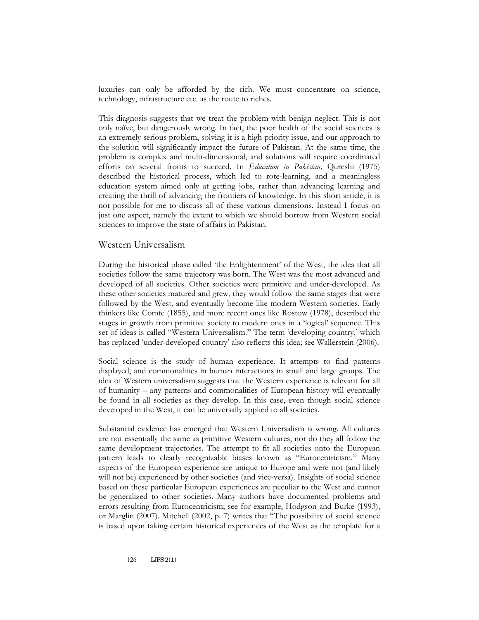luxuries can only be afforded by the rich. We must concentrate on science, technology, infrastructure etc. as the route to riches.

This diagnosis suggests that we treat the problem with benign neglect. This is not only naïve, but dangerously wrong. In fact, the poor health of the social sciences is an extremely serious problem, solving it is a high priority issue, and our approach to the solution will significantly impact the future of Pakistan. At the same time, the problem is complex and multi-dimensional, and solutions will require coordinated efforts on several fronts to succeed. In *Education in Pakistan,* Qureshi (1975) described the historical process, which led to rote-learning, and a meaningless education system aimed only at getting jobs, rather than advancing learning and creating the thrill of advancing the frontiers of knowledge. In this short article, it is not possible for me to discuss all of these various dimensions. Instead I focus on just one aspect, namely the extent to which we should borrow from Western social sciences to improve the state of affairs in Pakistan.

#### Western Universalism

During the historical phase called 'the Enlightenment' of the West, the idea that all societies follow the same trajectory was born. The West was the most advanced and developed of all societies. Other societies were primitive and under-developed. As these other societies matured and grew, they would follow the same stages that were followed by the West, and eventually become like modern Western societies. Early thinkers like Comte (1855), and more recent ones like Rostow (1978), described the stages in growth from primitive society to modern ones in a 'logical' sequence. This set of ideas is called "Western Universalism." The term 'developing country,' which has replaced 'under-developed country' also reflects this idea; see Wallerstein (2006).

Social science is the study of human experience. It attempts to find patterns displayed, and commonalities in human interactions in small and large groups. The idea of Western universalism suggests that the Western experience is relevant for all of humanity – any patterns and commonalities of European history will eventually be found in all societies as they develop. In this case, even though social science developed in the West, it can be universally applied to all societies.

Substantial evidence has emerged that Western Universalism is wrong. All cultures are not essentially the same as primitive Western cultures, nor do they all follow the same development trajectories. The attempt to fit all societies onto the European pattern leads to clearly recognizable biases known as "Eurocentricism." Many aspects of the European experience are unique to Europe and were not (and likely will not be) experienced by other societies (and vice-versa). Insights of social science based on these particular European experiences are peculiar to the West and cannot be generalized to other societies. Many authors have documented problems and errors resulting from Eurocentricism; see for example, Hodgson and Burke (1993), or Marglin (2007). Mitchell (2002, p. 7) writes that "The possibility of social science is based upon taking certain historical experiences of the West as the template for a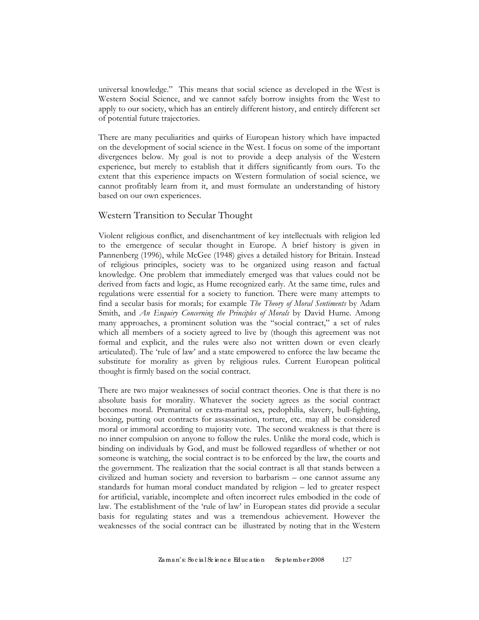universal knowledge." This means that social science as developed in the West is Western Social Science, and we cannot safely borrow insights from the West to apply to our society, which has an entirely different history, and entirely different set of potential future trajectories.

There are many peculiarities and quirks of European history which have impacted on the development of social science in the West. I focus on some of the important divergences below. My goal is not to provide a deep analysis of the Western experience, but merely to establish that it differs significantly from ours. To the extent that this experience impacts on Western formulation of social science, we cannot profitably learn from it, and must formulate an understanding of history based on our own experiences.

#### Western Transition to Secular Thought

Violent religious conflict, and disenchantment of key intellectuals with religion led to the emergence of secular thought in Europe. A brief history is given in Pannenberg (1996), while McGee (1948) gives a detailed history for Britain. Instead of religious principles, society was to be organized using reason and factual knowledge. One problem that immediately emerged was that values could not be derived from facts and logic, as Hume recognized early. At the same time, rules and regulations were essential for a society to function. There were many attempts to find a secular basis for morals; for example *The Theory of Moral Sentiments* by Adam Smith, and *An Enquiry Concerning the Principles of Morals* by David Hume. Among many approaches, a prominent solution was the "social contract," a set of rules which all members of a society agreed to live by (though this agreement was not formal and explicit, and the rules were also not written down or even clearly articulated). The 'rule of law' and a state empowered to enforce the law became the substitute for morality as given by religious rules. Current European political thought is firmly based on the social contract.

There are two major weaknesses of social contract theories. One is that there is no absolute basis for morality. Whatever the society agrees as the social contract becomes moral. Premarital or extra-marital sex, pedophilia, slavery, bull-fighting, boxing, putting out contracts for assassination, torture, etc. may all be considered moral or immoral according to majority vote. The second weakness is that there is no inner compulsion on anyone to follow the rules. Unlike the moral code, which is binding on individuals by God, and must be followed regardless of whether or not someone is watching, the social contract is to be enforced by the law, the courts and the government. The realization that the social contract is all that stands between a civilized and human society and reversion to barbarism – one cannot assume any standards for human moral conduct mandated by religion – led to greater respect for artificial, variable, incomplete and often incorrect rules embodied in the code of law. The establishment of the 'rule of law' in European states did provide a secular basis for regulating states and was a tremendous achievement. However the weaknesses of the social contract can be illustrated by noting that in the Western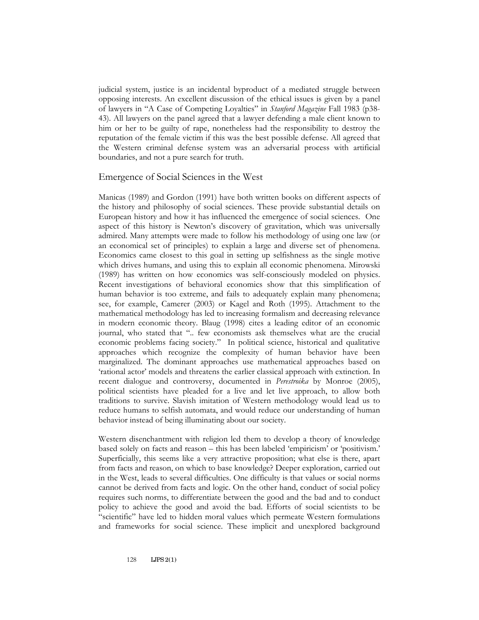judicial system, justice is an incidental byproduct of a mediated struggle between opposing interests. An excellent discussion of the ethical issues is given by a panel of lawyers in "A Case of Competing Loyalties" in *Stanford Magazine* Fall 1983 (p38- 43). All lawyers on the panel agreed that a lawyer defending a male client known to him or her to be guilty of rape, nonetheless had the responsibility to destroy the reputation of the female victim if this was the best possible defense. All agreed that the Western criminal defense system was an adversarial process with artificial boundaries, and not a pure search for truth.

#### Emergence of Social Sciences in the West

Manicas (1989) and Gordon (1991) have both written books on different aspects of the history and philosophy of social sciences. These provide substantial details on European history and how it has influenced the emergence of social sciences. One aspect of this history is Newton's discovery of gravitation, which was universally admired. Many attempts were made to follow his methodology of using one law (or an economical set of principles) to explain a large and diverse set of phenomena. Economics came closest to this goal in setting up selfishness as the single motive which drives humans, and using this to explain all economic phenomena. Mirowski (1989) has written on how economics was self-consciously modeled on physics. Recent investigations of behavioral economics show that this simplification of human behavior is too extreme, and fails to adequately explain many phenomena; see, for example, Camerer (2003) or Kagel and Roth (1995). Attachment to the mathematical methodology has led to increasing formalism and decreasing relevance in modern economic theory. Blaug (1998) cites a leading editor of an economic journal, who stated that ".. few economists ask themselves what are the crucial economic problems facing society." In political science, historical and qualitative approaches which recognize the complexity of human behavior have been marginalized. The dominant approaches use mathematical approaches based on 'rational actor' models and threatens the earlier classical approach with extinction. In recent dialogue and controversy, documented in *Perestroika* by Monroe (2005), political scientists have pleaded for a live and let live approach, to allow both traditions to survive. Slavish imitation of Western methodology would lead us to reduce humans to selfish automata, and would reduce our understanding of human behavior instead of being illuminating about our society.

Western disenchantment with religion led them to develop a theory of knowledge based solely on facts and reason – this has been labeled 'empiricism' or 'positivism.' Superficially, this seems like a very attractive proposition; what else is there, apart from facts and reason, on which to base knowledge? Deeper exploration, carried out in the West, leads to several difficulties. One difficulty is that values or social norms cannot be derived from facts and logic. On the other hand, conduct of social policy requires such norms, to differentiate between the good and the bad and to conduct policy to achieve the good and avoid the bad. Efforts of social scientists to be "scientific" have led to hidden moral values which permeate Western formulations and frameworks for social science. These implicit and unexplored background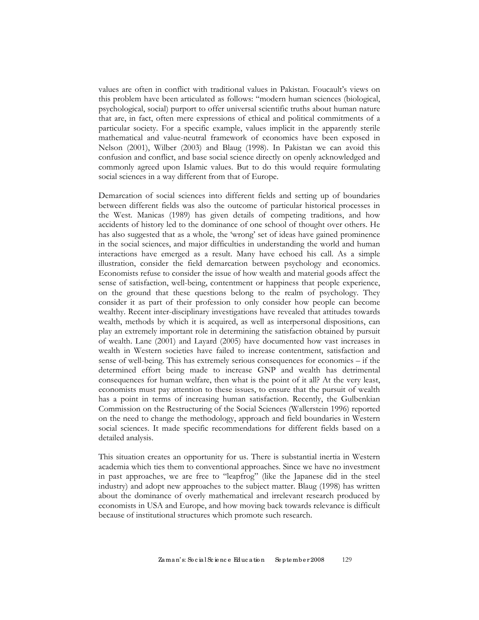values are often in conflict with traditional values in Pakistan. Foucault's views on this problem have been articulated as follows: "modern human sciences (biological, psychological, social) purport to offer universal scientific truths about human nature that are, in fact, often mere expressions of ethical and political commitments of a particular society. For a specific example, values implicit in the apparently sterile mathematical and value-neutral framework of economics have been exposed in Nelson (2001), Wilber (2003) and Blaug (1998). In Pakistan we can avoid this confusion and conflict, and base social science directly on openly acknowledged and commonly agreed upon Islamic values. But to do this would require formulating social sciences in a way different from that of Europe.

Demarcation of social sciences into different fields and setting up of boundaries between different fields was also the outcome of particular historical processes in the West. Manicas (1989) has given details of competing traditions, and how accidents of history led to the dominance of one school of thought over others. He has also suggested that as a whole, the 'wrong' set of ideas have gained prominence in the social sciences, and major difficulties in understanding the world and human interactions have emerged as a result. Many have echoed his call. As a simple illustration, consider the field demarcation between psychology and economics. Economists refuse to consider the issue of how wealth and material goods affect the sense of satisfaction, well-being, contentment or happiness that people experience, on the ground that these questions belong to the realm of psychology. They consider it as part of their profession to only consider how people can become wealthy. Recent inter-disciplinary investigations have revealed that attitudes towards wealth, methods by which it is acquired, as well as interpersonal dispositions, can play an extremely important role in determining the satisfaction obtained by pursuit of wealth. Lane (2001) and Layard (2005) have documented how vast increases in wealth in Western societies have failed to increase contentment, satisfaction and sense of well-being. This has extremely serious consequences for economics – if the determined effort being made to increase GNP and wealth has detrimental consequences for human welfare, then what is the point of it all? At the very least, economists must pay attention to these issues, to ensure that the pursuit of wealth has a point in terms of increasing human satisfaction. Recently, the Gulbenkian Commission on the Restructuring of the Social Sciences (Wallerstein 1996) reported on the need to change the methodology, approach and field boundaries in Western social sciences. It made specific recommendations for different fields based on a detailed analysis.

This situation creates an opportunity for us. There is substantial inertia in Western academia which ties them to conventional approaches. Since we have no investment in past approaches, we are free to "leapfrog" (like the Japanese did in the steel industry) and adopt new approaches to the subject matter. Blaug (1998) has written about the dominance of overly mathematical and irrelevant research produced by economists in USA and Europe, and how moving back towards relevance is difficult because of institutional structures which promote such research.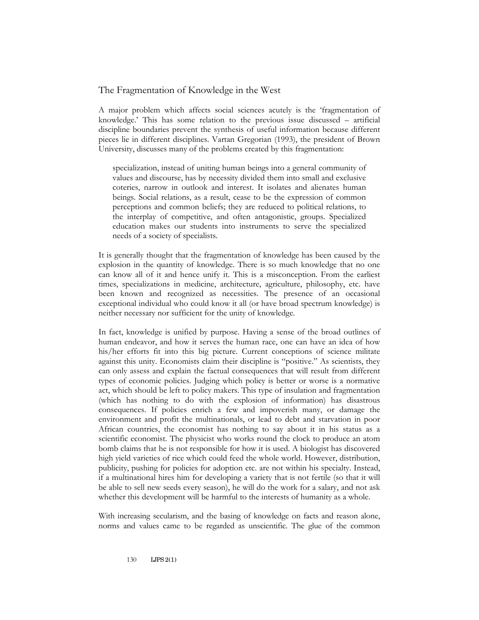### The Fragmentation of Knowledge in the West

A major problem which affects social sciences acutely is the 'fragmentation of knowledge.' This has some relation to the previous issue discussed – artificial discipline boundaries prevent the synthesis of useful information because different pieces lie in different disciplines. Vartan Gregorian (1993), the president of Brown University, discusses many of the problems created by this fragmentation:

specialization, instead of uniting human beings into a general community of values and discourse, has by necessity divided them into small and exclusive coteries, narrow in outlook and interest. It isolates and alienates human beings. Social relations, as a result, cease to be the expression of common perceptions and common beliefs; they are reduced to political relations, to the interplay of competitive, and often antagonistic, groups. Specialized education makes our students into instruments to serve the specialized needs of a society of specialists.

It is generally thought that the fragmentation of knowledge has been caused by the explosion in the quantity of knowledge. There is so much knowledge that no one can know all of it and hence unify it. This is a misconception. From the earliest times, specializations in medicine, architecture, agriculture, philosophy, etc. have been known and recognized as necessities. The presence of an occasional exceptional individual who could know it all (or have broad spectrum knowledge) is neither necessary nor sufficient for the unity of knowledge.

In fact, knowledge is unified by purpose. Having a sense of the broad outlines of human endeavor, and how it serves the human race, one can have an idea of how his/her efforts fit into this big picture. Current conceptions of science militate against this unity. Economists claim their discipline is "positive." As scientists, they can only assess and explain the factual consequences that will result from different types of economic policies. Judging which policy is better or worse is a normative act, which should be left to policy makers. This type of insulation and fragmentation (which has nothing to do with the explosion of information) has disastrous consequences. If policies enrich a few and impoverish many, or damage the environment and profit the multinationals, or lead to debt and starvation in poor African countries, the economist has nothing to say about it in his status as a scientific economist. The physicist who works round the clock to produce an atom bomb claims that he is not responsible for how it is used. A biologist has discovered high yield varieties of rice which could feed the whole world. However, distribution, publicity, pushing for policies for adoption etc. are not within his specialty. Instead, if a multinational hires him for developing a variety that is not fertile (so that it will be able to sell new seeds every season), he will do the work for a salary, and not ask whether this development will be harmful to the interests of humanity as a whole.

With increasing secularism, and the basing of knowledge on facts and reason alone, norms and values came to be regarded as unscientific. The glue of the common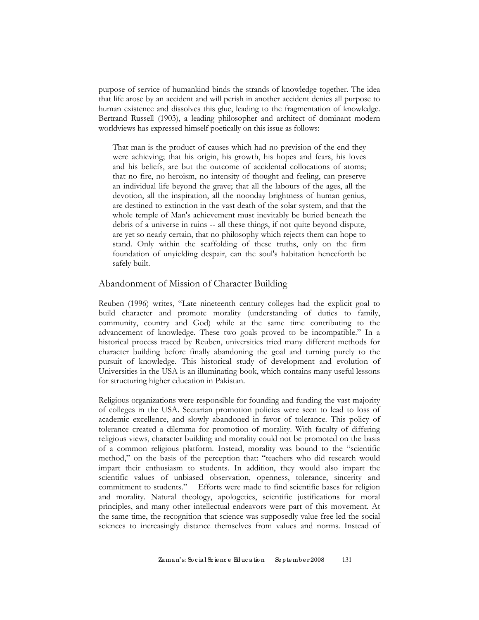purpose of service of humankind binds the strands of knowledge together. The idea that life arose by an accident and will perish in another accident denies all purpose to human existence and dissolves this glue, leading to the fragmentation of knowledge. Bertrand Russell (1903), a leading philosopher and architect of dominant modern worldviews has expressed himself poetically on this issue as follows:

That man is the product of causes which had no prevision of the end they were achieving; that his origin, his growth, his hopes and fears, his loves and his beliefs, are but the outcome of accidental collocations of atoms; that no fire, no heroism, no intensity of thought and feeling, can preserve an individual life beyond the grave; that all the labours of the ages, all the devotion, all the inspiration, all the noonday brightness of human genius, are destined to extinction in the vast death of the solar system, and that the whole temple of Man's achievement must inevitably be buried beneath the debris of a universe in ruins -- all these things, if not quite beyond dispute, are yet so nearly certain, that no philosophy which rejects them can hope to stand. Only within the scaffolding of these truths, only on the firm foundation of unyielding despair, can the soul's habitation henceforth be safely built.

#### Abandonment of Mission of Character Building

Reuben (1996) writes, "Late nineteenth century colleges had the explicit goal to build character and promote morality (understanding of duties to family, community, country and God) while at the same time contributing to the advancement of knowledge. These two goals proved to be incompatible." In a historical process traced by Reuben, universities tried many different methods for character building before finally abandoning the goal and turning purely to the pursuit of knowledge. This historical study of development and evolution of Universities in the USA is an illuminating book, which contains many useful lessons for structuring higher education in Pakistan.

Religious organizations were responsible for founding and funding the vast majority of colleges in the USA. Sectarian promotion policies were seen to lead to loss of academic excellence, and slowly abandoned in favor of tolerance. This policy of tolerance created a dilemma for promotion of morality. With faculty of differing religious views, character building and morality could not be promoted on the basis of a common religious platform. Instead, morality was bound to the "scientific method," on the basis of the perception that: "teachers who did research would impart their enthusiasm to students. In addition, they would also impart the scientific values of unbiased observation, openness, tolerance, sincerity and commitment to students." Efforts were made to find scientific bases for religion and morality. Natural theology, apologetics, scientific justifications for moral principles, and many other intellectual endeavors were part of this movement. At the same time, the recognition that science was supposedly value free led the social sciences to increasingly distance themselves from values and norms. Instead of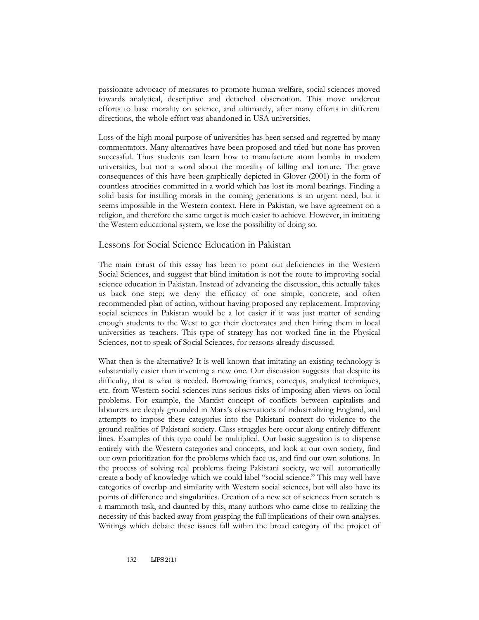passionate advocacy of measures to promote human welfare, social sciences moved towards analytical, descriptive and detached observation. This move undercut efforts to base morality on science, and ultimately, after many efforts in different directions, the whole effort was abandoned in USA universities.

Loss of the high moral purpose of universities has been sensed and regretted by many commentators. Many alternatives have been proposed and tried but none has proven successful. Thus students can learn how to manufacture atom bombs in modern universities, but not a word about the morality of killing and torture. The grave consequences of this have been graphically depicted in Glover (2001) in the form of countless atrocities committed in a world which has lost its moral bearings. Finding a solid basis for instilling morals in the coming generations is an urgent need, but it seems impossible in the Western context. Here in Pakistan, we have agreement on a religion, and therefore the same target is much easier to achieve. However, in imitating the Western educational system, we lose the possibility of doing so.

#### Lessons for Social Science Education in Pakistan

The main thrust of this essay has been to point out deficiencies in the Western Social Sciences, and suggest that blind imitation is not the route to improving social science education in Pakistan. Instead of advancing the discussion, this actually takes us back one step; we deny the efficacy of one simple, concrete, and often recommended plan of action, without having proposed any replacement. Improving social sciences in Pakistan would be a lot easier if it was just matter of sending enough students to the West to get their doctorates and then hiring them in local universities as teachers. This type of strategy has not worked fine in the Physical Sciences, not to speak of Social Sciences, for reasons already discussed.

What then is the alternative? It is well known that imitating an existing technology is substantially easier than inventing a new one. Our discussion suggests that despite its difficulty, that is what is needed. Borrowing frames, concepts, analytical techniques, etc. from Western social sciences runs serious risks of imposing alien views on local problems. For example, the Marxist concept of conflicts between capitalists and labourers are deeply grounded in Marx's observations of industrializing England, and attempts to impose these categories into the Pakistani context do violence to the ground realities of Pakistani society. Class struggles here occur along entirely different lines. Examples of this type could be multiplied. Our basic suggestion is to dispense entirely with the Western categories and concepts, and look at our own society, find our own prioritization for the problems which face us, and find our own solutions. In the process of solving real problems facing Pakistani society, we will automatically create a body of knowledge which we could label "social science." This may well have categories of overlap and similarity with Western social sciences, but will also have its points of difference and singularities. Creation of a new set of sciences from scratch is a mammoth task, and daunted by this, many authors who came close to realizing the necessity of this backed away from grasping the full implications of their own analyses. Writings which debate these issues fall within the broad category of the project of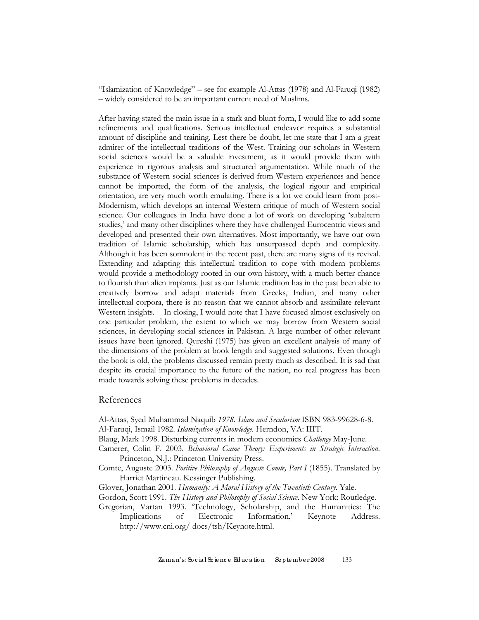"Islamization of Knowledge" – see for example Al-Attas (1978) and Al-Faruqi (1982) – widely considered to be an important current need of Muslims.

After having stated the main issue in a stark and blunt form, I would like to add some refinements and qualifications. Serious intellectual endeavor requires a substantial amount of discipline and training. Lest there be doubt, let me state that I am a great admirer of the intellectual traditions of the West. Training our scholars in Western social sciences would be a valuable investment, as it would provide them with experience in rigorous analysis and structured argumentation. While much of the substance of Western social sciences is derived from Western experiences and hence cannot be imported, the form of the analysis, the logical rigour and empirical orientation, are very much worth emulating. There is a lot we could learn from post-Modernism, which develops an internal Western critique of much of Western social science. Our colleagues in India have done a lot of work on developing 'subaltern studies,' and many other disciplines where they have challenged Eurocentric views and developed and presented their own alternatives. Most importantly, we have our own tradition of Islamic scholarship, which has unsurpassed depth and complexity. Although it has been somnolent in the recent past, there are many signs of its revival. Extending and adapting this intellectual tradition to cope with modern problems would provide a methodology rooted in our own history, with a much better chance to flourish than alien implants. Just as our Islamic tradition has in the past been able to creatively borrow and adapt materials from Greeks, Indian, and many other intellectual corpora, there is no reason that we cannot absorb and assimilate relevant Western insights. In closing, I would note that I have focused almost exclusively on one particular problem, the extent to which we may borrow from Western social sciences, in developing social sciences in Pakistan. A large number of other relevant issues have been ignored. Qureshi (1975) has given an excellent analysis of many of the dimensions of the problem at book length and suggested solutions. Even though the book is old, the problems discussed remain pretty much as described. It is sad that despite its crucial importance to the future of the nation, no real progress has been made towards solving these problems in decades.

#### References

- Al-Attas, Syed Muhammad Naquib *1978. Islam and Secularism* ISBN 983-99628-6-8. Al-Faruqi, Ismail 1982. *Islamization of Knowledge*. Herndon, VA: IIIT.
- Blaug, Mark 1998. Disturbing currents in modern economics *Challenge* May-June.
- Camerer, Colin F. 2003. *Behavioral Game Theory: Experiments in Strategic Interaction*. Princeton, N.J.: Princeton University Press.
- Comte, Auguste 2003. *Positive Philosophy of Auguste Comte, Part I* (1855). Translated by Harriet Martineau. Kessinger Publishing.
- Glover, Jonathan 2001. *Humanity: A Moral History of the Twentieth Century*. Yale.
- Gordon, Scott 1991. *The History and Philosophy of Social Science*. New York: Routledge.
- Gregorian, Vartan 1993. 'Technology, Scholarship, and the Humanities: The Implications of Electronic Information,' Keynote Address. <http://www.cni.org/> docs/tsh/Keynote.html.